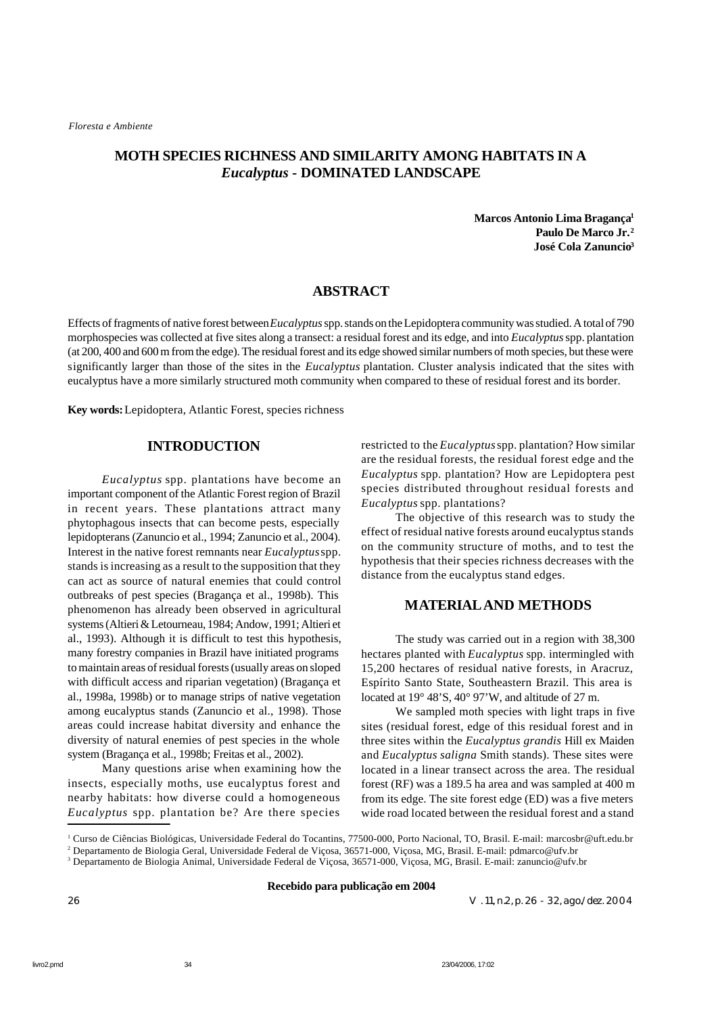# **MOTH SPECIES RICHNESS AND SIMILARITY AMONG HABITATS IN A** *Eucalyptus -* **DOMINATED LANDSCAPE**

**Marcos Antonio Lima Bragança<sup>1</sup> Paulo De Marco Jr.<sup>2</sup> José Cola Zanuncio<sup>3</sup>**

## **ABSTRACT**

Effects of fragments of native forest between *Eucalyptus* spp. stands on the Lepidoptera community was studied. A total of 790 morphospecies was collected at five sites along a transect: a residual forest and its edge, and into *Eucalyptus* spp. plantation (at 200, 400 and 600 m from the edge). The residual forest and its edge showed similar numbers of moth species, but these were significantly larger than those of the sites in the *Eucalyptus* plantation. Cluster analysis indicated that the sites with eucalyptus have a more similarly structured moth community when compared to these of residual forest and its border.

**Key words:** Lepidoptera, Atlantic Forest, species richness

### **INTRODUCTION**

*Eucalyptus* spp. plantations have become an important component of the Atlantic Forest region of Brazil in recent years. These plantations attract many phytophagous insects that can become pests, especially lepidopterans (Zanuncio et al., 1994; Zanuncio et al., 2004). Interest in the native forest remnants near *Eucalyptus* spp. stands is increasing as a result to the supposition that they can act as source of natural enemies that could control outbreaks of pest species (Bragança et al., 1998b). This phenomenon has already been observed in agricultural systems (Altieri & Letourneau, 1984; Andow, 1991; Altieri et al., 1993). Although it is difficult to test this hypothesis, many forestry companies in Brazil have initiated programs to maintain areas of residual forests (usually areas on sloped with difficult access and riparian vegetation) (Bragança et al., 1998a, 1998b) or to manage strips of native vegetation among eucalyptus stands (Zanuncio et al., 1998). Those areas could increase habitat diversity and enhance the diversity of natural enemies of pest species in the whole system (Bragança et al., 1998b; Freitas et al., 2002).

Many questions arise when examining how the insects, especially moths, use eucalyptus forest and nearby habitats: how diverse could a homogeneous *Eucalyptus* spp. plantation be? Are there species

restricted to the *Eucalyptus* spp. plantation? How similar are the residual forests, the residual forest edge and the *Eucalyptus* spp. plantation? How are Lepidoptera pest species distributed throughout residual forests and *Eucalyptus* spp. plantations?

The objective of this research was to study the effect of residual native forests around eucalyptus stands on the community structure of moths, and to test the hypothesis that their species richness decreases with the distance from the eucalyptus stand edges.

## **MATERIALAND METHODS**

The study was carried out in a region with 38,300 hectares planted with *Eucalyptus* spp. intermingled with 15,200 hectares of residual native forests, in Aracruz, Espírito Santo State, Southeastern Brazil. This area is located at 19° 48'S, 40° 97'W, and altitude of 27 m.

We sampled moth species with light traps in five sites (residual forest, edge of this residual forest and in three sites within the *Eucalyptus grandis* Hill ex Maiden and *Eucalyptus saligna* Smith stands). These sites were located in a linear transect across the area. The residual forest (RF) was a 189.5 ha area and was sampled at 400 m from its edge. The site forest edge (ED) was a five meters wide road located between the residual forest and a stand

**Recebido para publicação em 2004**

26 V. 11, n.2, p. 26 - 32, ago./dez. 2004

<sup>&</sup>lt;sup>1</sup> Curso de Ciências Biológicas, Universidade Federal do Tocantins, 77500-000, Porto Nacional, TO, Brasil. E-mail: marcosbr@uft.edu.br

<sup>2</sup> Departamento de Biologia Geral, Universidade Federal de Viçosa, 36571-000, Viçosa, MG, Brasil. E-mail: pdmarco@ufv.br

<sup>3</sup> Departamento de Biologia Animal, Universidade Federal de Viçosa, 36571-000, Viçosa, MG, Brasil. E-mail: zanuncio@ufv.br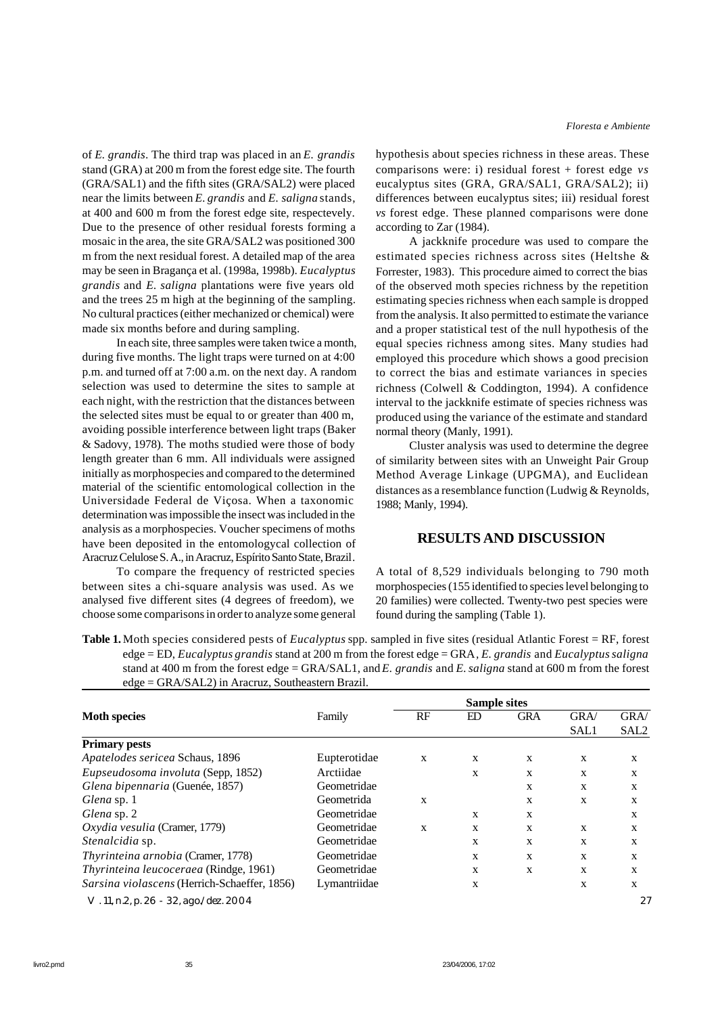of *E. grandis*. The third trap was placed in an *E. grandis* stand (GRA) at 200 m from the forest edge site. The fourth (GRA/SAL1) and the fifth sites (GRA/SAL2) were placed near the limits between *E. grandis* and *E. saligna* stands, at 400 and 600 m from the forest edge site, respectevely. Due to the presence of other residual forests forming a mosaic in the area, the site GRA/SAL2 was positioned 300 m from the next residual forest. A detailed map of the area may be seen in Bragança et al. (1998a, 1998b). *Eucalyptus grandis* and *E. saligna* plantations were five years old and the trees 25 m high at the beginning of the sampling. No cultural practices (either mechanized or chemical) were made six months before and during sampling.

In each site, three samples were taken twice a month, during five months. The light traps were turned on at 4:00 p.m. and turned off at 7:00 a.m. on the next day. A random selection was used to determine the sites to sample at each night, with the restriction that the distances between the selected sites must be equal to or greater than 400 m, avoiding possible interference between light traps (Baker & Sadovy, 1978). The moths studied were those of body length greater than 6 mm. All individuals were assigned initially as morphospecies and compared to the determined material of the scientific entomological collection in the Universidade Federal de Viçosa. When a taxonomic determination was impossible the insect was included in the analysis as a morphospecies. Voucher specimens of moths have been deposited in the entomologycal collection of Aracruz Celulose S. A., in Aracruz, Espírito Santo State, Brazil.

To compare the frequency of restricted species between sites a chi-square analysis was used. As we analysed five different sites (4 degrees of freedom), we choose some comparisons in order to analyze some general *Floresta e Ambiente*

hypothesis about species richness in these areas. These comparisons were: i) residual forest + forest edge *vs* eucalyptus sites (GRA, GRA/SAL1, GRA/SAL2); ii) differences between eucalyptus sites; iii) residual forest *vs* forest edge. These planned comparisons were done according to Zar (1984).

A jackknife procedure was used to compare the estimated species richness across sites (Heltshe & Forrester, 1983). This procedure aimed to correct the bias of the observed moth species richness by the repetition estimating species richness when each sample is dropped from the analysis. It also permitted to estimate the variance and a proper statistical test of the null hypothesis of the equal species richness among sites. Many studies had employed this procedure which shows a good precision to correct the bias and estimate variances in species richness (Colwell & Coddington, 1994). A confidence interval to the jackknife estimate of species richness was produced using the variance of the estimate and standard normal theory (Manly, 1991).

Cluster analysis was used to determine the degree of similarity between sites with an Unweight Pair Group Method Average Linkage (UPGMA), and Euclidean distances as a resemblance function (Ludwig & Reynolds, 1988; Manly, 1994).

### **RESULTS AND DISCUSSION**

A total of 8,529 individuals belonging to 790 moth morphospecies (155 identified to species level belonging to 20 families) were collected. Twenty-two pest species were found during the sampling (Table 1).

| Table 1. Moth species considered pests of <i>Eucalyptus</i> spp. sampled in five sites (residual Atlantic Forest = RF, forest |
|-------------------------------------------------------------------------------------------------------------------------------|
| edge = ED, Eucalyptus grandis stand at 200 m from the forest edge = GRA, E. grandis and Eucalyptus saligna                    |
| stand at 400 m from the forest edge = GRA/SAL1, and E. grandis and E. saligna stand at 600 m from the forest                  |
| $edge = GRA/SAL2$ in Aracruz. Southeastern Brazil.                                                                            |

|                                              |              | <b>Sample sites</b> |    |            |      |                  |  |  |
|----------------------------------------------|--------------|---------------------|----|------------|------|------------------|--|--|
| <b>Moth species</b>                          | Family       | RF                  | ED | <b>GRA</b> | GRA/ | GRA/             |  |  |
|                                              |              |                     |    |            | SAL1 | SAL <sub>2</sub> |  |  |
| <b>Primary pests</b>                         |              |                     |    |            |      |                  |  |  |
| Apatelodes sericea Schaus, 1896              | Eupterotidae | X                   | X  | X          | X    | X                |  |  |
| Eupseudosoma involuta (Sepp, 1852)           | Arctiidae    |                     | X  | X          | X    | X                |  |  |
| Glena bipennaria (Guenée, 1857)              | Geometridae  |                     |    | X          | X    | X                |  |  |
| Glena sp. 1                                  | Geometrida   | X                   |    | X          | X    | X                |  |  |
| Glena sp. 2                                  | Geometridae  |                     | X  | X          |      | X                |  |  |
| Oxydia vesulia (Cramer, 1779)                | Geometridae  | X                   | X  | X          | X    | X                |  |  |
| Stenalcidia sp.                              | Geometridae  |                     | X  | X          | X    | X                |  |  |
| Thyrinteina arnobia (Cramer, 1778)           | Geometridae  |                     | X  | X          | X    | X                |  |  |
| Thyrinteina leucoceraea (Rindge, 1961)       | Geometridae  |                     | X  | X          | X    | X                |  |  |
| Sarsina violascens (Herrich-Schaeffer, 1856) | Lymantriidae |                     | X  |            | X    | X                |  |  |
| V. 11, n.2, p. 26 - 32, ago./dez. 2004       |              |                     |    |            |      | 27               |  |  |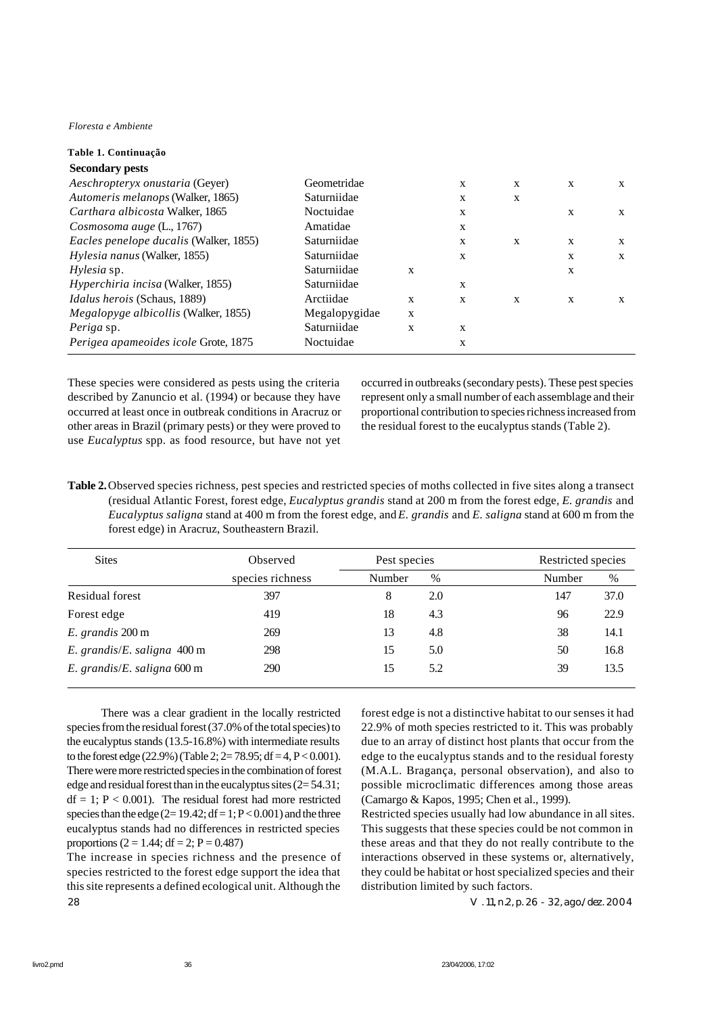*Floresta e Ambiente*

| Table 1. Continuação                     |               |   |   |              |              |              |
|------------------------------------------|---------------|---|---|--------------|--------------|--------------|
| <b>Secondary pests</b>                   |               |   |   |              |              |              |
| Aeschropteryx onustaria (Geyer)          | Geometridae   |   | X | $\mathbf{x}$ | $\mathbf{x}$ | X            |
| Automeris melanops (Walker, 1865)        | Saturniidae   |   | X | X            |              |              |
| Carthara albicosta Walker, 1865          | Noctuidae     |   | X |              | X            | X            |
| Cosmosoma auge (L., 1767)                | Amatidae      |   | X |              |              |              |
| Eacles penelope ducalis (Walker, 1855)   | Saturniidae   |   | X | $\mathbf{x}$ | X            | $\mathbf{x}$ |
| <i>Hylesia nanus</i> (Walker, 1855)      | Saturniidae   |   | X |              | X            | X            |
| Hylesia sp.                              | Saturniidae   | X |   |              | X            |              |
| <i>Hyperchiria incisa</i> (Walker, 1855) | Saturniidae   |   | X |              |              |              |
| <i>Idalus herois</i> (Schaus, 1889)      | Arctiidae     | X | X | X            | X            | X            |
| Megalopyge albicollis (Walker, 1855)     | Megalopygidae | X |   |              |              |              |
| <i>Periga</i> sp.                        | Saturniidae   | X | X |              |              |              |
| Perigea apameoides icole Grote, 1875     | Noctuidae     |   | X |              |              |              |

These species were considered as pests using the criteria described by Zanuncio et al. (1994) or because they have occurred at least once in outbreak conditions in Aracruz or other areas in Brazil (primary pests) or they were proved to use *Eucalyptus* spp. as food resource, but have not yet occurred in outbreaks (secondary pests). These pest species represent only a small number of each assemblage and their proportional contribution to species richness increased from the residual forest to the eucalyptus stands (Table 2).

**Table 2.** Observed species richness, pest species and restricted species of moths collected in five sites along a transect (residual Atlantic Forest, forest edge, *Eucalyptus grandis* stand at 200 m from the forest edge*, E. grandis* and *Eucalyptus saligna* stand at 400 m from the forest edge, and *E. grandis* and *E. saligna* stand at 600 m from the forest edge) in Aracruz, Southeastern Brazil.

| <b>Sites</b>                          | Observed         | Pest species |     |             | Restricted species |  |  |
|---------------------------------------|------------------|--------------|-----|-------------|--------------------|--|--|
|                                       | species richness | Number       | %   | %<br>Number |                    |  |  |
| <b>Residual forest</b>                | 397              | 8            | 2.0 | 37.0<br>147 |                    |  |  |
| Forest edge                           | 419              | 18           | 4.3 | 22.9<br>96  |                    |  |  |
| E. grandis 200 m                      | 269              | 13           | 4.8 | 38<br>14.1  |                    |  |  |
| E. grandis/E. saligna $400 \text{ m}$ | 298              | 15           | 5.0 | 16.8<br>50  |                    |  |  |
| E. grandis/E. saligna $600 \text{ m}$ | 290              | 15           | 5.2 | 13.5<br>39  |                    |  |  |

There was a clear gradient in the locally restricted species from the residual forest (37.0% of the total species) to the eucalyptus stands (13.5-16.8%) with intermediate results to the forest edge (22.9%) (Table 2;  $2=78.95$ ; df = 4, P < 0.001). There were more restricted species in the combination of forest edge and residual forest than in the eucalyptus sites  $(2=54.31)$ ;  $df = 1$ ;  $P < 0.001$ ). The residual forest had more restricted species than the edge  $(2=19.42; df = 1; P < 0.001)$  and the three eucalyptus stands had no differences in restricted species proportions ( $2 = 1.44$ ; df = 2; P = 0.487)

28 V. 11, n.2, p. 26 - 32, ago./dez. 2004 The increase in species richness and the presence of species restricted to the forest edge support the idea that this site represents a defined ecological unit. Although the

forest edge is not a distinctive habitat to our senses it had 22.9% of moth species restricted to it. This was probably due to an array of distinct host plants that occur from the edge to the eucalyptus stands and to the residual foresty (M.A.L. Bragança, personal observation), and also to possible microclimatic differences among those areas (Camargo & Kapos, 1995; Chen et al., 1999).

Restricted species usually had low abundance in all sites. This suggests that these species could be not common in these areas and that they do not really contribute to the interactions observed in these systems or, alternatively, they could be habitat or host specialized species and their distribution limited by such factors.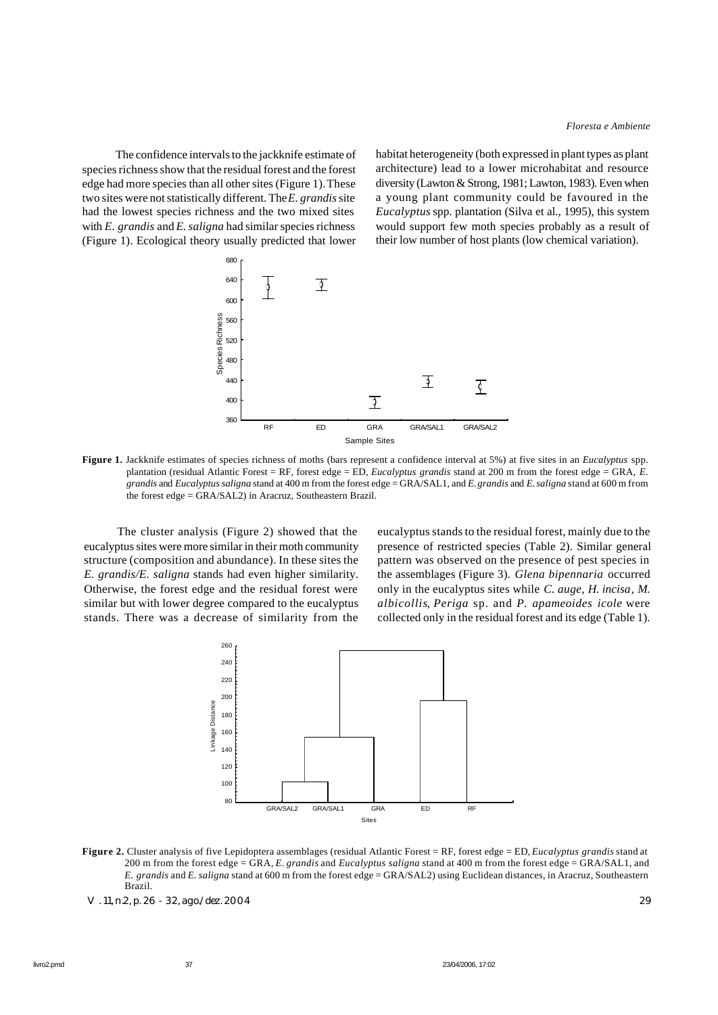The confidence intervals to the jackknife estimate of species richness show that the residual forest and the forest edge had more species than all other sites (Figure 1). These two sites were not statistically different. The *E. grandis* site had the lowest species richness and the two mixed sites with *E. grandis* and *E. saligna* had similar species richness (Figure 1). Ecological theory usually predicted that lower

habitat heterogeneity (both expressed in plant types as plant architecture) lead to a lower microhabitat and resource diversity (Lawton & Strong, 1981; Lawton, 1983). Even when a young plant community could be favoured in the *Eucalyptus* spp. plantation (Silva et al., 1995), this system would support few moth species probably as a result of their low number of host plants (low chemical variation).



**Figure 1.** Jackknife estimates of species richness of moths (bars represent a confidence interval at 5%) at five sites in an *Eucalyptus* spp. plantation (residual Atlantic Forest = RF, forest edge = ED, *Eucalyptus grandis* stand at 200 m from the forest edge = GRA*, E. grandis* and *Eucalyptus saligna* stand at 400 m from the forest edge = GRA/SAL1, and *E. grandis* and *E. saligna* stand at 600 m from the forest edge = GRA/SAL2) in Aracruz, Southeastern Brazil.

The cluster analysis (Figure 2) showed that the eucalyptus sites were more similar in their moth community structure (composition and abundance). In these sites the *E. grandis/E. saligna* stands had even higher similarity. Otherwise, the forest edge and the residual forest were similar but with lower degree compared to the eucalyptus stands. There was a decrease of similarity from the

eucalyptus stands to the residual forest, mainly due to the presence of restricted species (Table 2). Similar general pattern was observed on the presence of pest species in the assemblages (Figure 3). *Glena bipennaria* occurred only in the eucalyptus sites while *C. auge*, *H. incisa*, *M. albicollis*, *Periga* sp. and *P. apameoides icole* were collected only in the residual forest and its edge (Table 1).



**Figure 2.** Cluster analysis of five Lepidoptera assemblages (residual Atlantic Forest = RF, forest edge = ED, *Eucalyptus grandis* stand at 200 m from the forest edge = GRA*, E. grandis* and *Eucalyptus saligna* stand at 400 m from the forest edge = GRA/SAL1, and *E. grandis* and *E. saligna* stand at 600 m from the forest edge = GRA/SAL2) using Euclidean distances, in Aracruz, Southeastern Brazil.

V. 11, n.2, p. 26 - 32, ago./dez. 2004 29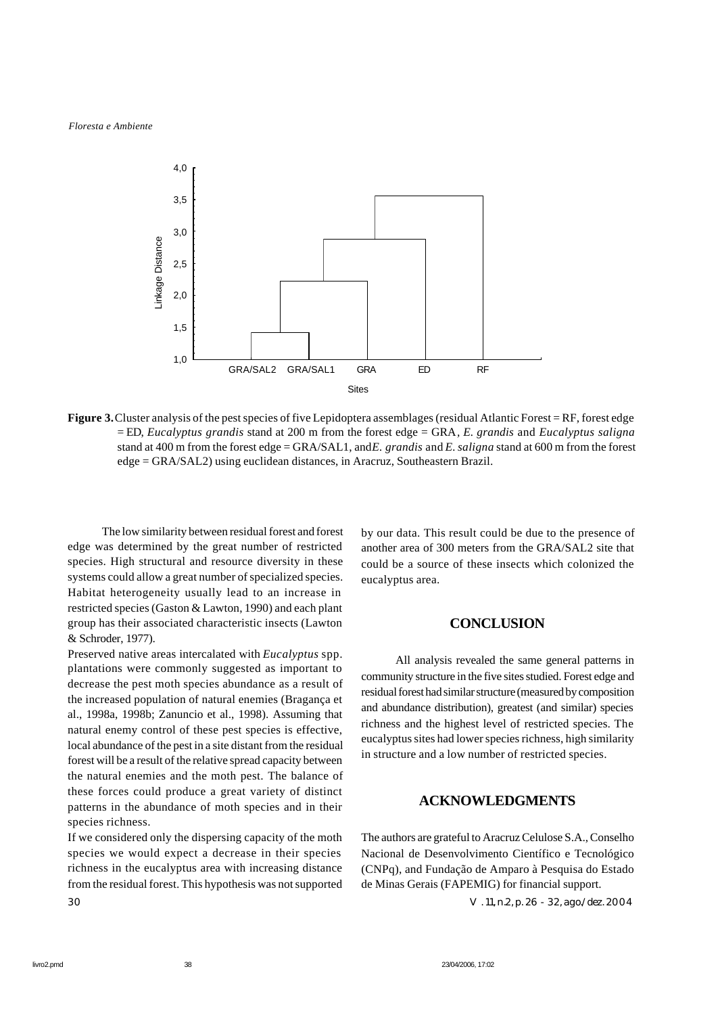

**Figure 3.** Cluster analysis of the pest species of five Lepidoptera assemblages (residual Atlantic Forest = RF, forest edge = ED, *Eucalyptus grandis* stand at 200 m from the forest edge = GRA*, E. grandis* and *Eucalyptus saligna* stand at 400 m from the forest edge = GRA/SAL1, and *E. grandis* and *E. saligna* stand at 600 m from the forest edge = GRA/SAL2) using euclidean distances, in Aracruz, Southeastern Brazil.

The low similarity between residual forest and forest edge was determined by the great number of restricted species. High structural and resource diversity in these systems could allow a great number of specialized species. Habitat heterogeneity usually lead to an increase in restricted species (Gaston & Lawton, 1990) and each plant group has their associated characteristic insects (Lawton & Schroder, 1977).

Preserved native areas intercalated with *Eucalyptus* spp. plantations were commonly suggested as important to decrease the pest moth species abundance as a result of the increased population of natural enemies (Bragança et al., 1998a, 1998b; Zanuncio et al., 1998). Assuming that natural enemy control of these pest species is effective, local abundance of the pest in a site distant from the residual forest will be a result of the relative spread capacity between the natural enemies and the moth pest. The balance of these forces could produce a great variety of distinct patterns in the abundance of moth species and in their species richness.

30 V. 11, n.2, p. 26 - 32, ago./dez. 2004 If we considered only the dispersing capacity of the moth species we would expect a decrease in their species richness in the eucalyptus area with increasing distance from the residual forest. This hypothesis was not supported

by our data. This result could be due to the presence of another area of 300 meters from the GRA/SAL2 site that could be a source of these insects which colonized the eucalyptus area.

#### **CONCLUSION**

All analysis revealed the same general patterns in community structure in the five sites studied. Forest edge and residual forest had similar structure (measured by composition and abundance distribution), greatest (and similar) species richness and the highest level of restricted species. The eucalyptus sites had lower species richness, high similarity in structure and a low number of restricted species.

## **ACKNOWLEDGMENTS**

The authors are grateful to Aracruz Celulose S.A., Conselho Nacional de Desenvolvimento Científico e Tecnológico (CNPq), and Fundação de Amparo à Pesquisa do Estado de Minas Gerais (FAPEMIG) for financial support.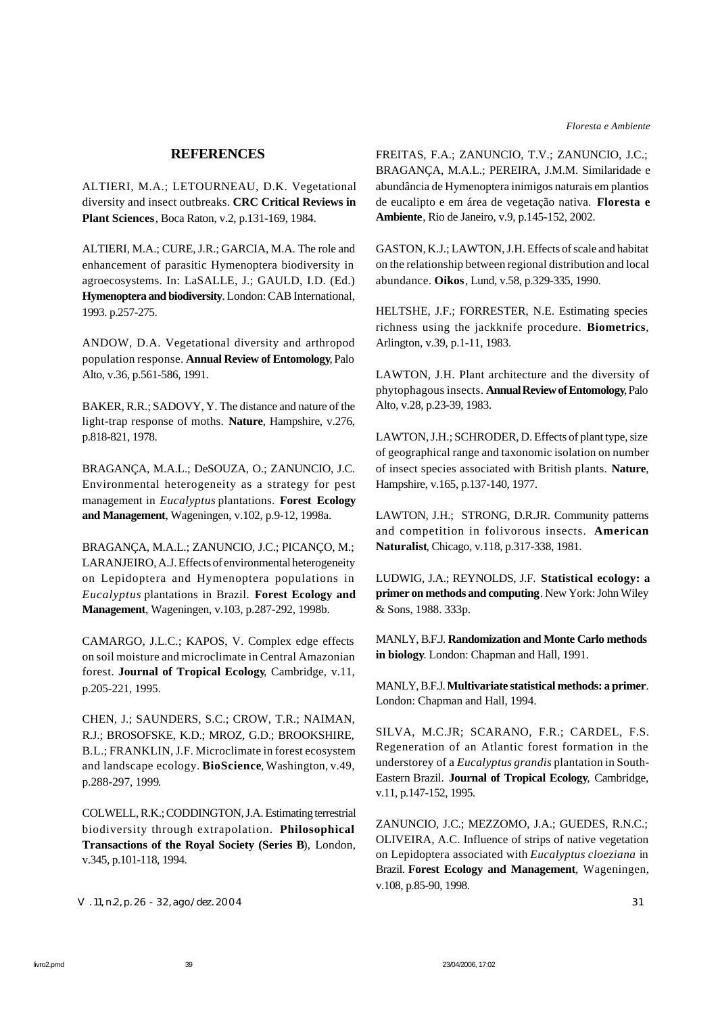### **REFERENCES**

ALTIERI, M.A.; LETOURNEAU, D.K. Vegetational diversity and insect outbreaks. **CRC Critical Reviews in Plant Sciences**, Boca Raton, v.2, p.131-169, 1984.

ALTIERI, M.A.; CURE, J.R.; GARCIA, M.A. The role and enhancement of parasitic Hymenoptera biodiversity in agroecosystems. In: LaSALLE, J.; GAULD, I.D. (Ed.) **Hymenoptera and biodiversity**. London: CAB International, 1993. p.257-275.

ANDOW, D.A. Vegetational diversity and arthropod population response. **Annual Review of Entomology**, Palo Alto, v.36, p.561-586, 1991.

BAKER, R.R.; SADOVY, Y. The distance and nature of the light-trap response of moths. **Nature**, Hampshire, v.276, p.818-821, 1978.

BRAGANÇA, M.A.L.; DeSOUZA, O.; ZANUNCIO, J.C. Environmental heterogeneity as a strategy for pest management in *Eucalyptus* plantations. **Forest Ecology and Management**, Wageningen, v.102, p.9-12, 1998a.

BRAGANÇA, M.A.L.; ZANUNCIO, J.C.; PICANÇO, M.; LARANJEIRO, A.J. Effects of environmental heterogeneity on Lepidoptera and Hymenoptera populations in *Eucalyptus* plantations in Brazil. **Forest Ecology and Management**, Wageningen, v.103, p.287-292, 1998b.

CAMARGO, J.L.C.; KAPOS, V. Complex edge effects on soil moisture and microclimate in Central Amazonian forest. **Journal of Tropical Ecology**, Cambridge, v.11, p.205-221, 1995.

CHEN, J.; SAUNDERS, S.C.; CROW, T.R.; NAIMAN, R.J.; BROSOFSKE, K.D.; MROZ, G.D.; BROOKSHIRE, B.L.; FRANKLIN, J.F. Microclimate in forest ecosystem and landscape ecology. **BioScience**, Washington, v.49, p.288-297, 1999.

COLWELL, R.K.; CODDINGTON, J.A. Estimating terrestrial biodiversity through extrapolation. **Philosophical Transactions of the Royal Society (Series B**), London, v.345, p.101-118, 1994.

V. 11, n.2, p. 26 - 32, ago./dez. 2004 31

FREITAS, F.A.; ZANUNCIO, T.V.; ZANUNCIO, J.C.; BRAGANÇA, M.A.L.; PEREIRA, J.M.M. Similaridade e abundância de Hymenoptera inimigos naturais em plantios de eucalipto e em área de vegetação nativa. **Floresta e Ambiente**, Rio de Janeiro, v.9, p.145-152, 2002.

GASTON, K.J.; LAWTON, J.H. Effects of scale and habitat on the relationship between regional distribution and local abundance. **Oikos**, Lund, v.58, p.329-335, 1990.

HELTSHE, J.F.; FORRESTER, N.E. Estimating species richness using the jackknife procedure. **Biometrics**, Arlington, v.39, p.1-11, 1983.

LAWTON, J.H. Plant architecture and the diversity of phytophagous insects. **Annual Review of Entomology**, Palo Alto, v.28, p.23-39, 1983.

LAWTON, J.H.; SCHRODER, D. Effects of plant type, size of geographical range and taxonomic isolation on number of insect species associated with British plants. **Nature**, Hampshire, v.165, p.137-140, 1977.

LAWTON, J.H.; STRONG, D.R.JR. Community patterns and competition in folivorous insects. **American Naturalist**, Chicago, v.118, p.317-338, 1981.

LUDWIG, J.A.; REYNOLDS, J.F. **Statistical ecology: a primer on methods and computing**. New York: John Wiley & Sons, 1988. 333p.

MANLY, B.F.J. **Randomization and Monte Carlo methods in biology**. London: Chapman and Hall, 1991.

MANLY, B.F.J. **Multivariate statistical methods: a primer**. London: Chapman and Hall, 1994.

SILVA, M.C.JR; SCARANO, F.R.; CARDEL, F.S. Regeneration of an Atlantic forest formation in the understorey of a *Eucalyptus grandis* plantation in South-Eastern Brazil. **Journal of Tropical Ecology**, Cambridge, v.11, p.147-152, 1995.

ZANUNCIO, J.C.; MEZZOMO, J.A.; GUEDES, R.N.C.; OLIVEIRA, A.C. Influence of strips of native vegetation on Lepidoptera associated with *Eucalyptus cloeziana* in Brazil. **Forest Ecology and Management**, Wageningen, v.108, p.85-90, 1998.